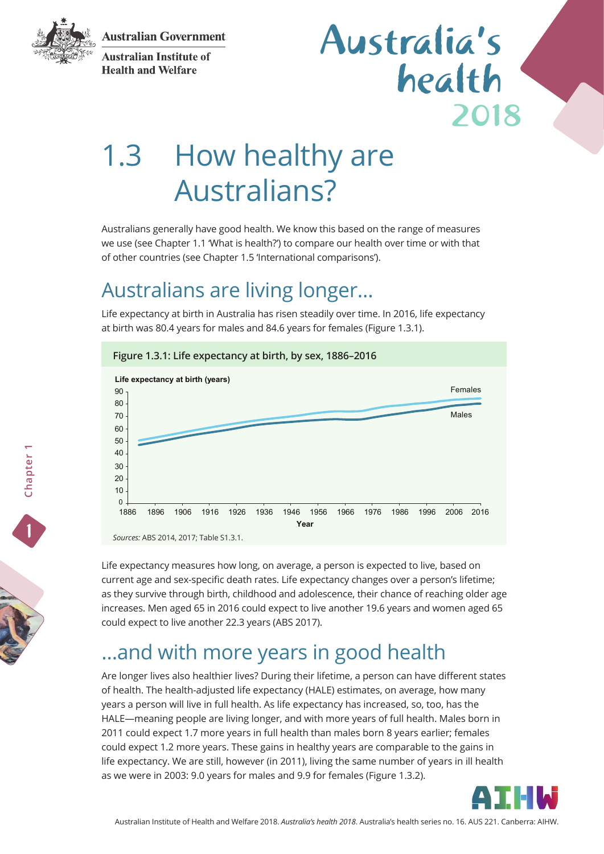**Australian Government** 



**Australian Institute of Health and Welfare** 

## 2018 Australia's health

# 1.3 How healthy are Australians?

Australians generally have good health. We know this based on the range of measures we use (see Chapter 1.1 'What is health?') to compare our health over time or with that of other countries (see Chapter 1.5 'International comparisons').

### Australians are living longer…

Life expectancy at birth in Australia has risen steadily over time. In 2016, life expectancy at birth was 80.4 years for males and 84.6 years for females (Figure 1.3.1).



Life expectancy measures how long, on average, a person is expected to live, based on current age and sex-specific death rates. Life expectancy changes over a person's lifetime; as they survive through birth, childhood and adolescence, their chance of reaching older age increases. Men aged 65 in 2016 could expect to live another 19.6 years and women aged 65 could expect to live another 22.3 years (ABS 2017).

### …and with more years in good health

Are longer lives also healthier lives? During their lifetime, a person can have different states of health. The health-adjusted life expectancy (HALE) estimates, on average, how many years a person will live in full health. As life expectancy has increased, so, too, has the HALE—meaning people are living longer, and with more years of full health. Males born in 2011 could expect 1.7 more years in full health than males born 8 years earlier; females could expect 1.2 more years. These gains in healthy years are comparable to the gains in life expectancy. We are still, however (in 2011), living the same number of years in ill health as we were in 2003: 9.0 years for males and 9.9 for females (Figure 1.3.2).

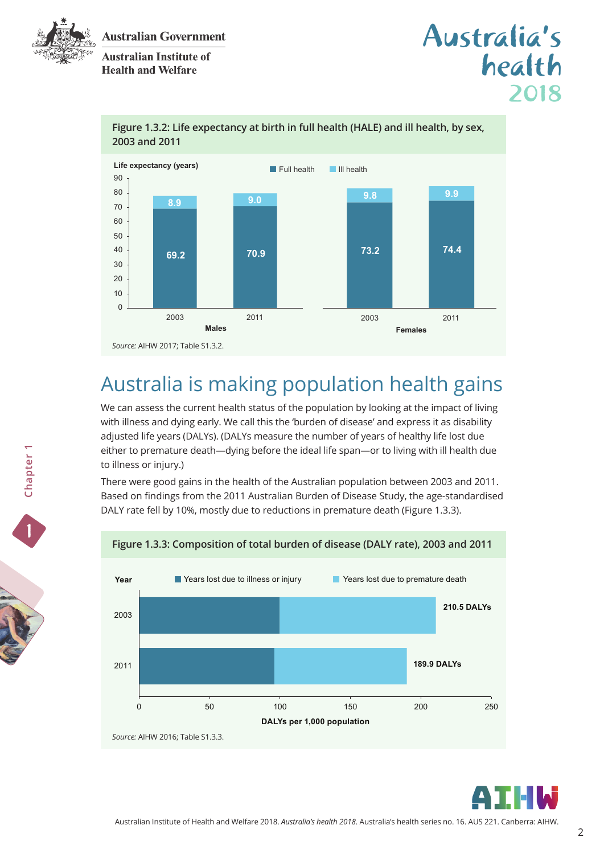

**Australian Institute of Health and Welfare** 





#### **Figure 1.3.2: Life expectancy at birth in full health (HALE) and ill health, by sex, 2003 and 2011**

## Australia is making population health gains

We can assess the current health status of the population by looking at the impact of living with illness and dying early. We call this the 'burden of disease' and express it as disability adjusted life years (DALYs). (DALYs measure the number of years of healthy life lost due either to premature death—dying before the ideal life span—or to living with ill health due to illness or injury.)

There were good gains in the health of the Australian population between 2003 and 2011. Based on findings from the 2011 Australian Burden of Disease Study, the age-standardised DALY rate fell by 10%, mostly due to reductions in premature death (Figure 1.3.3).



#### **Figure 1.3.3: Composition of total burden of disease (DALY rate), 2003 and 2011**